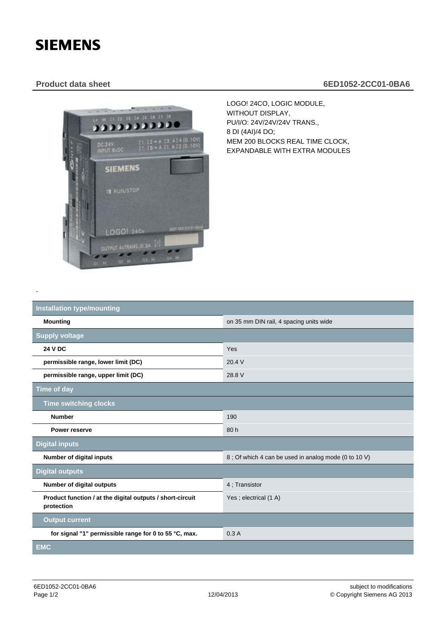## **SIEMENS**

-

## **Product data sheet 6ED1052-2CC01-0BA6**



LOGO! 24CO, LOGIC MODULE, WITHOUT DISPLAY, PU/I/O: 24V/24V/24V TRANS., 8 DI (4AI)/4 DO; MEM 200 BLOCKS REAL TIME CLOCK, EXPANDABLE WITH EXTRA MODULES

| <b>Installation type/mounting</b>                                       |                                                      |
|-------------------------------------------------------------------------|------------------------------------------------------|
| <b>Mounting</b>                                                         | on 35 mm DIN rail, 4 spacing units wide              |
| <b>Supply voltage</b>                                                   |                                                      |
| <b>24 V DC</b>                                                          | Yes                                                  |
| permissible range, lower limit (DC)                                     | 20.4 V                                               |
| permissible range, upper limit (DC)                                     | 28.8 V                                               |
| <b>Time of day</b>                                                      |                                                      |
| <b>Time switching clocks</b>                                            |                                                      |
| <b>Number</b>                                                           | 190                                                  |
| Power reserve                                                           | 80h                                                  |
| <b>Digital inputs</b>                                                   |                                                      |
| Number of digital inputs                                                | 8; Of which 4 can be used in analog mode (0 to 10 V) |
| <b>Digital outputs</b>                                                  |                                                      |
| Number of digital outputs                                               | 4; Transistor                                        |
| Product function / at the digital outputs / short-circuit<br>protection | Yes; electrical (1 A)                                |
| <b>Output current</b>                                                   |                                                      |
| for signal "1" permissible range for 0 to 55 °C, max.                   | 0.3A                                                 |
| <b>EMC</b>                                                              |                                                      |